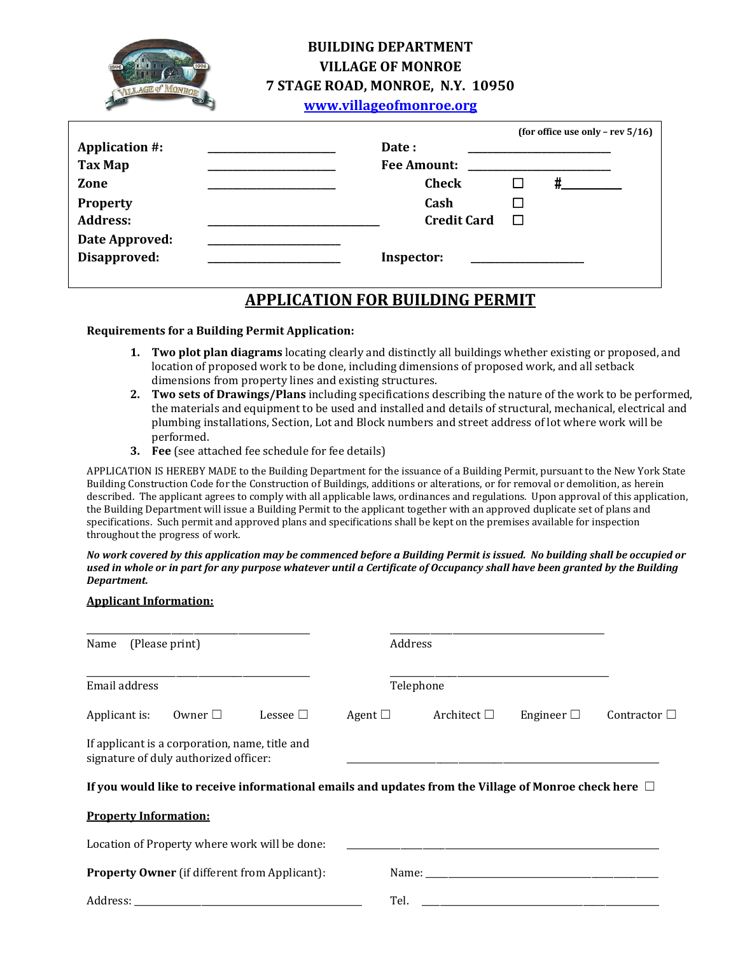

## **BUILDING DEPARTMENT VILLAGE OF MONROE 7 STAGE ROAD, MONROE, N.Y. 10950**

**[www.villageofmonroe.org](http://www.villageofmonroe.org/)**

|                       |                    |                    | (for office use only - rev $5/16$ ) |
|-----------------------|--------------------|--------------------|-------------------------------------|
| <b>Application #:</b> | Date:              |                    |                                     |
| <b>Tax Map</b>        | <b>Fee Amount:</b> |                    |                                     |
| Zone                  | <b>Check</b>       |                    |                                     |
| <b>Property</b>       | Cash               |                    |                                     |
| <b>Address:</b>       |                    | <b>Credit Card</b> |                                     |
| Date Approved:        |                    |                    |                                     |
| Disapproved:          | Inspector:         |                    |                                     |

# **APPLICATION FOR BUILDING PERMIT**

#### **Requirements for a Building Permit Application:**

- **1. Two plot plan diagrams** locating clearly and distinctly all buildings whether existing or proposed, and location of proposed work to be done, including dimensions of proposed work, and all setback dimensions from property lines and existing structures.
- **2. Two sets of Drawings/Plans** including specifications describing the nature of the work to be performed, the materials and equipment to be used and installed and details of structural, mechanical, electrical and plumbing installations, Section, Lot and Block numbers and street address of lot where work will be performed.
- **3. Fee** (see attached fee schedule for fee details)

APPLICATION IS HEREBY MADE to the Building Department for the issuance of a Building Permit, pursuant to the New York State Building Construction Code for the Construction of Buildings, additions or alterations, or for removal or demolition, as herein described. The applicant agrees to comply with all applicable laws, ordinances and regulations. Upon approval of this application, the Building Department will issue a Building Permit to the applicant together with an approved duplicate set of plans and specifications. Such permit and approved plans and specifications shall be kept on the premises available for inspection throughout the progress of work.

*No work covered by this application may be commenced before a Building Permit is issued. No building shall be occupied or used in whole or in part for any purpose whatever until a Certificate of Occupancy shall have been granted by the Building Department.*

#### **Applicant Information:**

| (Please print)<br>Name       |                                                                                         |                                                                                                            | Address      |           |                  |                                                                                                                                                                                                                                |                   |
|------------------------------|-----------------------------------------------------------------------------------------|------------------------------------------------------------------------------------------------------------|--------------|-----------|------------------|--------------------------------------------------------------------------------------------------------------------------------------------------------------------------------------------------------------------------------|-------------------|
| Email address                |                                                                                         |                                                                                                            |              | Telephone |                  |                                                                                                                                                                                                                                |                   |
| Applicant is:                | Owner $\Box$                                                                            | Lessee $\Box$                                                                                              | Agent $\Box$ |           | Architect $\Box$ | Engineer $\Box$                                                                                                                                                                                                                | Contractor $\Box$ |
|                              | If applicant is a corporation, name, title and<br>signature of duly authorized officer: |                                                                                                            |              |           |                  |                                                                                                                                                                                                                                |                   |
|                              |                                                                                         | If you would like to receive informational emails and updates from the Village of Monroe check here $\Box$ |              |           |                  |                                                                                                                                                                                                                                |                   |
| <b>Property Information:</b> |                                                                                         |                                                                                                            |              |           |                  |                                                                                                                                                                                                                                |                   |
|                              |                                                                                         | Location of Property where work will be done:                                                              |              |           |                  |                                                                                                                                                                                                                                |                   |
|                              |                                                                                         | <b>Property Owner</b> (if different from Applicant):                                                       |              |           |                  | Name: when the contract of the contract of the contract of the contract of the contract of the contract of the contract of the contract of the contract of the contract of the contract of the contract of the contract of the |                   |
| Address:                     |                                                                                         |                                                                                                            |              | Tel.      |                  |                                                                                                                                                                                                                                |                   |